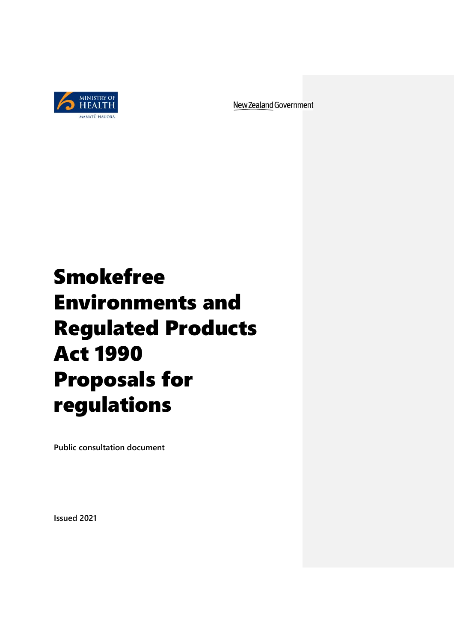

New Zealand Government

# Smokefree Environments and Regulated Products Act 1990 Proposals for regulations

**Public consultation document**

**Issued 2021**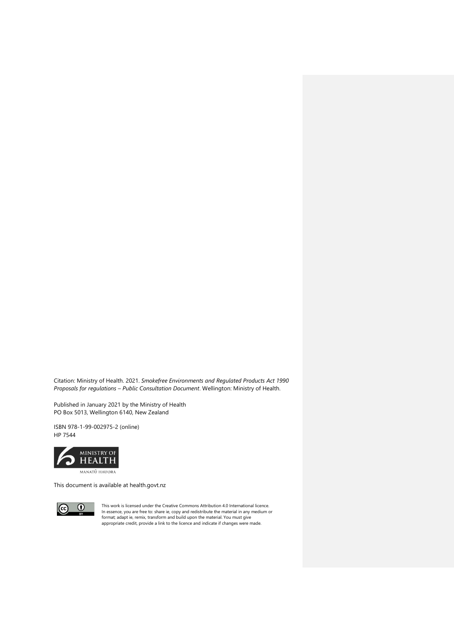Citation: Ministry of Health. 2021. *Smokefree Environments and Regulated Products Act 1990 Proposals for regulations – Public Consultation Document*. Wellington: Ministry of Health.

Published in January 2021 by the Ministry of Health PO Box 5013, Wellington 6140, New Zealand

ISBN 978-1-99-002975-2 (online) HP 7544



This document is available at health.govt.nz



This work is licensed under the Creative Commons Attribution 4.0 International licence.<br>In essence, you are free to: share ie, copy and redistribute the material in any medium or<br>format; adapt ie, remix, transform and buil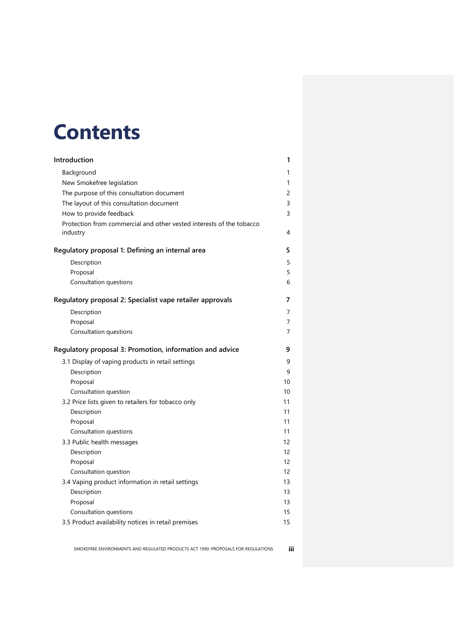# **Contents**

| Introduction                                                                  | 1              |
|-------------------------------------------------------------------------------|----------------|
| Background                                                                    | 1              |
| New Smokefree legislation                                                     | 1              |
| The purpose of this consultation document                                     | $\overline{c}$ |
| The layout of this consultation document                                      | 3              |
| How to provide feedback                                                       | 3              |
| Protection from commercial and other vested interests of the tobacco          |                |
| industry                                                                      | 4              |
| Regulatory proposal 1: Defining an internal area                              | 5              |
| Description                                                                   | 5              |
| Proposal                                                                      | 5              |
| Consultation questions                                                        | 6              |
| Regulatory proposal 2: Specialist vape retailer approvals                     | 7              |
| Description                                                                   | 7              |
| Proposal                                                                      | 7              |
| Consultation questions                                                        | 7              |
|                                                                               |                |
| Regulatory proposal 3: Promotion, information and advice                      | 9              |
| 3.1 Display of vaping products in retail settings                             | 9              |
| Description                                                                   | 9              |
| Proposal                                                                      | 10             |
| Consultation question                                                         | 10             |
| 3.2 Price lists given to retailers for tobacco only                           | 11             |
| Description                                                                   | 11             |
| Proposal                                                                      | 11             |
| Consultation questions                                                        | 11             |
| 3.3 Public health messages                                                    | 12             |
| Description                                                                   | 12             |
| Proposal                                                                      | 12             |
| Consultation question                                                         | 12             |
| 3.4 Vaping product information in retail settings                             | 13             |
| Description                                                                   | 13             |
| Proposal                                                                      | 13             |
| Consultation questions<br>3.5 Product availability notices in retail premises | 15<br>15       |

SMOKEFREE ENVIRONMENTS AND REGULATED PRODUCTS ACT 1990: PROPOSALS FOR REGULATIONS **iii**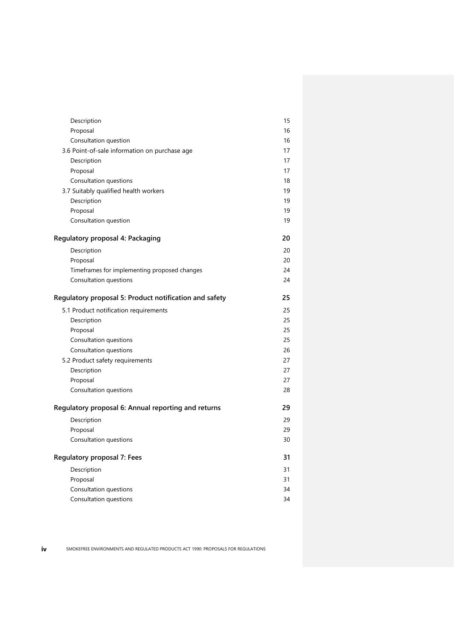| Description                                            | 15 |
|--------------------------------------------------------|----|
| Proposal                                               | 16 |
| Consultation question                                  | 16 |
| 3.6 Point-of-sale information on purchase age          | 17 |
| Description                                            | 17 |
| Proposal                                               | 17 |
| Consultation questions                                 | 18 |
| 3.7 Suitably qualified health workers                  | 19 |
| Description                                            | 19 |
| Proposal                                               | 19 |
| Consultation question                                  | 19 |
| Regulatory proposal 4: Packaging                       | 20 |
| Description                                            | 20 |
| Proposal                                               | 20 |
| Timeframes for implementing proposed changes           | 24 |
| Consultation questions                                 | 24 |
| Regulatory proposal 5: Product notification and safety | 25 |
| 5.1 Product notification requirements                  | 25 |
| Description                                            | 25 |
| Proposal                                               | 25 |
| Consultation questions                                 | 25 |
| Consultation questions                                 | 26 |
| 5.2 Product safety requirements                        | 27 |
| Description                                            | 27 |
| Proposal                                               | 27 |
| Consultation questions                                 | 28 |
| Regulatory proposal 6: Annual reporting and returns    | 29 |
| Description                                            | 29 |
| Proposal                                               | 29 |
| Consultation questions                                 | 30 |
| Regulatory proposal 7: Fees                            | 31 |
| Description                                            | 31 |
| Proposal                                               | 31 |
| Consultation questions                                 | 34 |
| Consultation questions                                 | 34 |

**iv** SMOKEFREE ENVIRONMENTS AND REGULATED PRODUCTS ACT 1990: PROPOSALS FOR REGULATIONS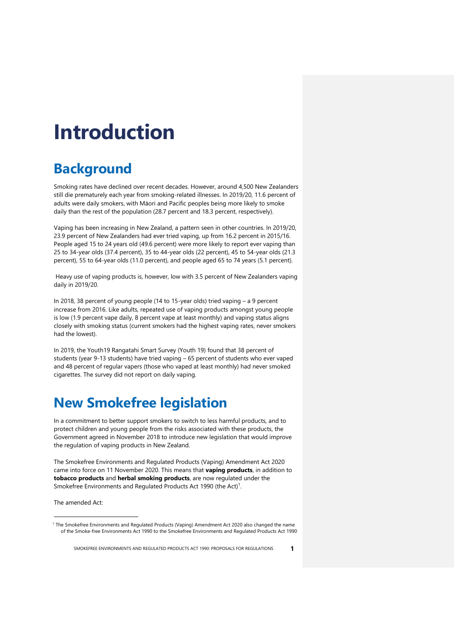# <span id="page-4-0"></span>**Introduction**

## <span id="page-4-1"></span>**Background**

Smoking rates have declined over recent decades. However, around 4,500 New Zealanders still die prematurely each year from smoking-related illnesses. In 2019/20, 11.6 percent of adults were daily smokers, with Māori and Pacific peoples being more likely to smoke daily than the rest of the population (28.7 percent and 18.3 percent, respectively).

Vaping has been increasing in New Zealand, a pattern seen in other countries. In 2019/20, 23.9 percent of New Zealanders had ever tried vaping, up from 16.2 percent in 2015/16. People aged 15 to 24 years old (49.6 percent) were more likely to report ever vaping than 25 to 34-year olds (37.4 percent), 35 to 44-year olds (22 percent), 45 to 54-year olds (21.3 percent), 55 to 64-year olds (11.0 percent), and people aged 65 to 74 years (5.1 percent).

Heavy use of vaping products is, however, low with 3.5 percent of New Zealanders vaping daily in 2019/20.

In 2018, 38 percent of young people (14 to 15-year olds) tried vaping – a 9 percent increase from 2016. Like adults, repeated use of vaping products amongst young people is low (1.9 percent vape daily, 8 percent vape at least monthly) and vaping status aligns closely with smoking status (current smokers had the highest vaping rates, never smokers had the lowest).

In 2019, the Youth19 Rangatahi Smart Survey (Youth 19) found that 38 percent of students (year 9-13 students) have tried vaping – 65 percent of students who ever vaped and 48 percent of regular vapers (those who vaped at least monthly) had never smoked cigarettes. The survey did not report on daily vaping.

## <span id="page-4-2"></span>**New Smokefree legislation**

In a commitment to better support smokers to switch to less harmful products, and to protect children and young people from the risks associated with these products, the Government agreed in November 2018 to introduce new legislation that would improve the regulation of vaping products in New Zealand.

The Smokefree Environments and Regulated Products (Vaping) Amendment Act 2020 came into force on 11 November 2020. This means that **vaping products**, in addition to **tobacco products** and **herbal smoking products**, are now regulated under the Smokefree Environments and Regulated Products Act 1990 (the Act)<sup>1</sup>.

The amended Act:

<sup>1</sup> The Smokefree Environments and Regulated Products (Vaping) Amendment Act 2020 also changed the name of the Smoke-free Environments Act 1990 to the Smokefree Environments and Regulated Products Act 1990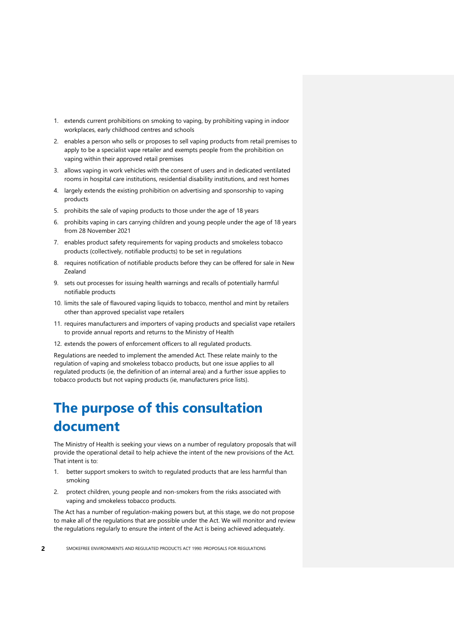- 1. extends current prohibitions on smoking to vaping, by prohibiting vaping in indoor workplaces, early childhood centres and schools
- 2. enables a person who sells or proposes to sell vaping products from retail premises to apply to be a specialist vape retailer and exempts people from the prohibition on vaping within their approved retail premises
- 3. allows vaping in work vehicles with the consent of users and in dedicated ventilated rooms in hospital care institutions, residential disability institutions, and rest homes
- 4. largely extends the existing prohibition on advertising and sponsorship to vaping products
- 5. prohibits the sale of vaping products to those under the age of 18 years
- 6. prohibits vaping in cars carrying children and young people under the age of 18 years from 28 November 2021
- 7. enables product safety requirements for vaping products and smokeless tobacco products (collectively, notifiable products) to be set in regulations
- 8. requires notification of notifiable products before they can be offered for sale in New Zealand
- 9. sets out processes for issuing health warnings and recalls of potentially harmful notifiable products
- 10. limits the sale of flavoured vaping liquids to tobacco, menthol and mint by retailers other than approved specialist vape retailers
- 11. requires manufacturers and importers of vaping products and specialist vape retailers to provide annual reports and returns to the Ministry of Health
- 12. extends the powers of enforcement officers to all regulated products.

Regulations are needed to implement the amended Act. These relate mainly to the regulation of vaping and smokeless tobacco products, but one issue applies to all regulated products (ie, the definition of an internal area) and a further issue applies to tobacco products but not vaping products (ie, manufacturers price lists).

## <span id="page-5-0"></span>**The purpose of this consultation document**

The Ministry of Health is seeking your views on a number of regulatory proposals that will provide the operational detail to help achieve the intent of the new provisions of the Act. That intent is to:

- 1. better support smokers to switch to regulated products that are less harmful than smoking
- 2. protect children, young people and non-smokers from the risks associated with vaping and smokeless tobacco products.

The Act has a number of regulation-making powers but, at this stage, we do not propose to make all of the regulations that are possible under the Act. We will monitor and review the regulations regularly to ensure the intent of the Act is being achieved adequately.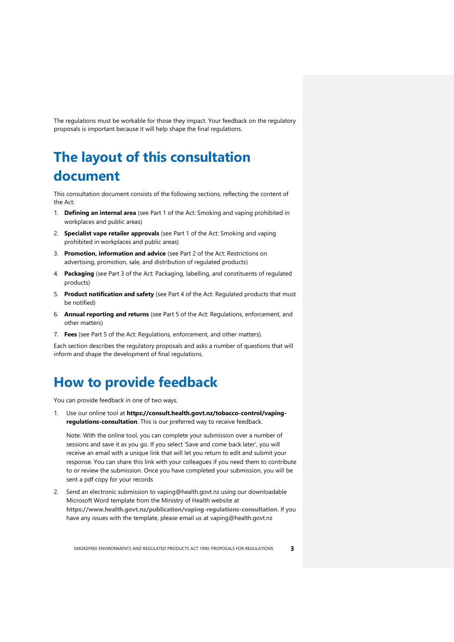The regulations must be workable for those they impact. Your feedback on the regulatory proposals is important because it will help shape the final regulations.

## <span id="page-6-0"></span>**The layout of this consultation document**

This consultation document consists of the following sections, reflecting the content of the Act:

- 1. **Defining an internal area** (see Part 1 of the Act: Smoking and vaping prohibited in workplaces and public areas)
- 2. **Specialist vape retailer approvals** (see Part 1 of the Act: Smoking and vaping prohibited in workplaces and public areas)
- 3. **Promotion, information and advice** (see Part 2 of the Act: Restrictions on advertising, promotion, sale, and distribution of regulated products)
- 4. **Packaging** (see Part 3 of the Act: Packaging, labelling, and constituents of regulated products)
- 5. **Product notification and safety** (see Part 4 of the Act: Regulated products that must be notified)
- 6. **Annual reporting and returns** (see Part 5 of the Act: Regulations, enforcement, and other matters)
- 7. **Fees** (see Part 5 of the Act: Regulations, enforcement, and other matters).

Each section describes the regulatory proposals and asks a number of questions that will inform and shape the development of final regulations.

## <span id="page-6-1"></span>**How to provide feedback**

You can provide feedback in one of two ways.

1. Use our online tool at **https://consult.health.govt.nz/tobacco-control/vapingregulations-consultation**. This is our preferred way to receive feedback.

Note: With the online tool, you can complete your submission over a number of sessions and save it as you go. If you select 'Save and come back later', you will receive an email with a unique link that will let you return to edit and submit your response. You can share this link with your colleagues if you need them to contribute to or review the submission. Once you have completed your submission, you will be sent a pdf copy for your records

2. Send an electronic submission to vaping@health.govt.nz using our downloadable Microsoft Word template from the Ministry of Health website at **<https://www.health.govt.nz/publication/vaping-regulations-consultation>**. If you have any issues with the template, please email us at [vaping@health.govt.nz](mailto:vaping@health.govt.nz)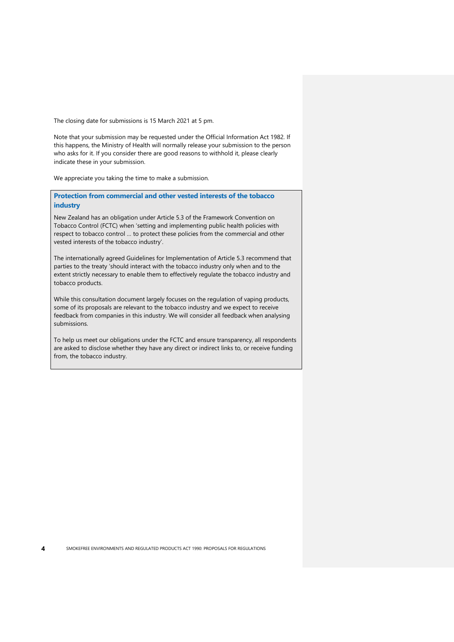The closing date for submissions is 15 March 2021 at 5 pm.

Note that your submission may be requested under the Official Information Act 1982. If this happens, the Ministry of Health will normally release your submission to the person who asks for it. If you consider there are good reasons to withhold it, please clearly indicate these in your submission.

We appreciate you taking the time to make a submission.

<span id="page-7-0"></span>**Protection from commercial and other vested interests of the tobacco industry**

New Zealand has an obligation under Article 5.3 of the Framework Convention on Tobacco Control (FCTC) when 'setting and implementing public health policies with respect to tobacco control … to protect these policies from the commercial and other vested interests of the tobacco industry'.

The internationally agreed Guidelines for Implementation of Article 5.3 recommend that parties to the treaty 'should interact with the tobacco industry only when and to the extent strictly necessary to enable them to effectively regulate the tobacco industry and tobacco products.

While this consultation document largely focuses on the regulation of vaping products, some of its proposals are relevant to the tobacco industry and we expect to receive feedback from companies in this industry. We will consider all feedback when analysing submissions.

To help us meet our obligations under the FCTC and ensure transparency, all respondents are asked to disclose whether they have any direct or indirect links to, or receive funding from, the tobacco industry.

**4** SMOKEFREE ENVIRONMENTS AND REGULATED PRODUCTS ACT 1990: PROPOSALS FOR REGULATIONS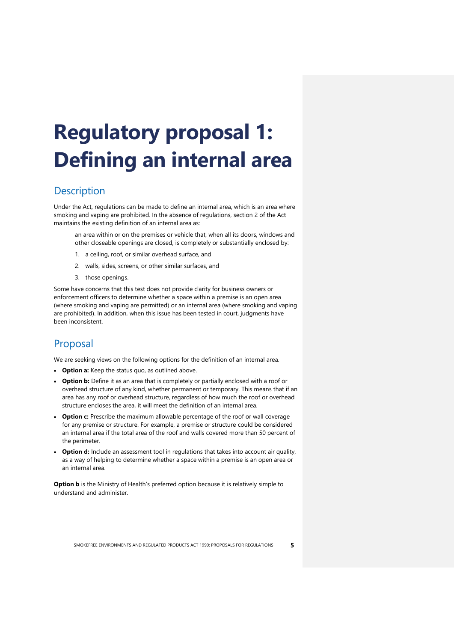# <span id="page-8-0"></span>**Regulatory proposal 1: Defining an internal area**

#### <span id="page-8-1"></span>**Description**

Under the Act, regulations can be made to define an internal area, which is an area where smoking and vaping are prohibited. In the absence of regulations, section 2 of the Act maintains the existing definition of an internal area as:

an area within or on the premises or vehicle that, when all its doors, windows and other closeable openings are closed, is completely or substantially enclosed by:

- 1. a ceiling, roof, or similar overhead surface, and
- 2. walls, sides, screens, or other similar surfaces, and
- 3. those openings.

Some have concerns that this test does not provide clarity for business owners or enforcement officers to determine whether a space within a premise is an open area (where smoking and vaping are permitted) or an internal area (where smoking and vaping are prohibited). In addition, when this issue has been tested in court, judgments have been inconsistent.

#### <span id="page-8-2"></span>Proposal

We are seeking views on the following options for the definition of an internal area.

- **Option a:** Keep the status quo, as outlined above.
- **Option b:** Define it as an area that is completely or partially enclosed with a roof or overhead structure of any kind, whether permanent or temporary. This means that if an area has any roof or overhead structure, regardless of how much the roof or overhead structure encloses the area, it will meet the definition of an internal area.
- **Option c:** Prescribe the maximum allowable percentage of the roof or wall coverage for any premise or structure. For example, a premise or structure could be considered an internal area if the total area of the roof and walls covered more than 50 percent of the perimeter.
- **Option d:** Include an assessment tool in regulations that takes into account air quality, as a way of helping to determine whether a space within a premise is an open area or an internal area.

**Option b** is the Ministry of Health's preferred option because it is relatively simple to understand and administer.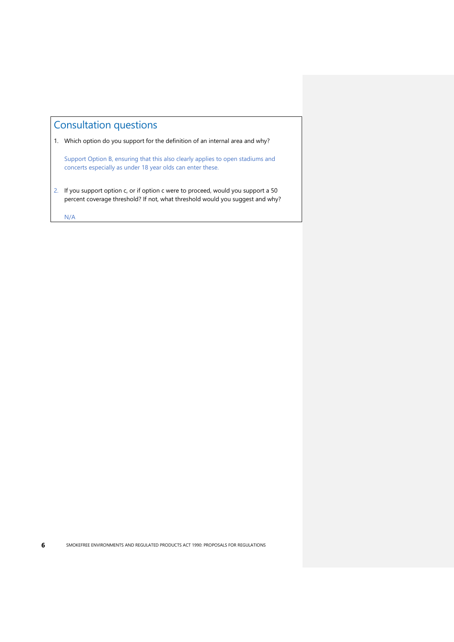## <span id="page-9-0"></span>Consultation questions

1. Which option do you support for the definition of an internal area and why?

Support Option B, ensuring that this also clearly applies to open stadiums and concerts especially as under 18 year olds can enter these.

2. If you support option c, or if option c were to proceed, would you support a 50 percent coverage threshold? If not, what threshold would you suggest and why?

N/A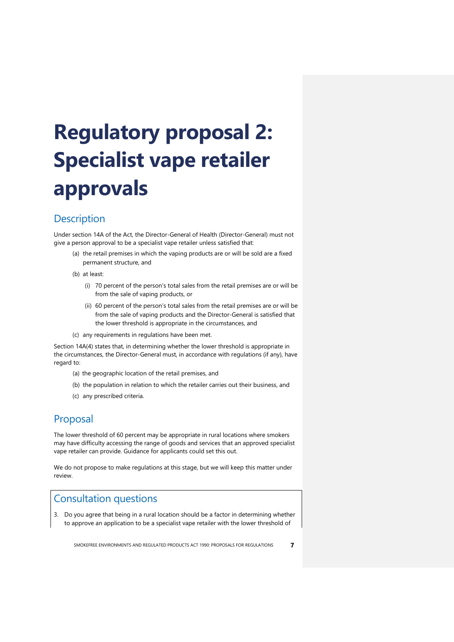# <span id="page-10-0"></span>**Regulatory proposal 2: Specialist vape retailer approvals**

#### <span id="page-10-1"></span>**Description**

Under section 14A of the Act, the Director-General of Health (Director-General) must not give a person approval to be a specialist vape retailer unless satisfied that:

- (a) the retail premises in which the vaping products are or will be sold are a fixed permanent structure, and
- (b) at least:
	- (i) 70 percent of the person's total sales from the retail premises are or will be from the sale of vaping products, or
	- (ii) 60 percent of the person's total sales from the retail premises are or will be from the sale of vaping products and the Director-General is satisfied that the lower threshold is appropriate in the circumstances, and
- (c) any requirements in regulations have been met.

Section 14A(4) states that, in determining whether the lower threshold is appropriate in the circumstances, the Director-General must, in accordance with regulations (if any), have regard to:

- (a) the geographic location of the retail premises, and
- (b) the population in relation to which the retailer carries out their business, and
- (c) any prescribed criteria.

#### <span id="page-10-2"></span>Proposal

The lower threshold of 60 percent may be appropriate in rural locations where smokers may have difficulty accessing the range of goods and services that an approved specialist vape retailer can provide. Guidance for applicants could set this out.

We do not propose to make regulations at this stage, but we will keep this matter under review.

#### <span id="page-10-3"></span>Consultation questions

3. Do you agree that being in a rural location should be a factor in determining whether to approve an application to be a specialist vape retailer with the lower threshold of

SMOKEFREE ENVIRONMENTS AND REGULATED PRODUCTS ACT 1990: PROPOSALS FOR REGULATIONS **7**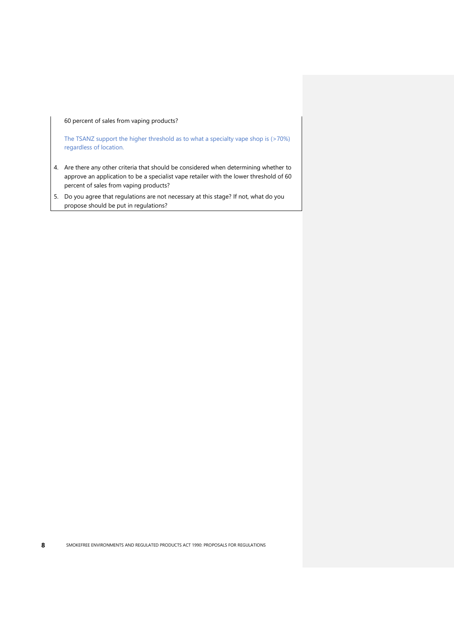60 percent of sales from vaping products?

The TSANZ support the higher threshold as to what a specialty vape shop is (>70%) regardless of location.

- 4. Are there any other criteria that should be considered when determining whether to approve an application to be a specialist vape retailer with the lower threshold of 60 percent of sales from vaping products?
- 5. Do you agree that regulations are not necessary at this stage? If not, what do you propose should be put in regulations?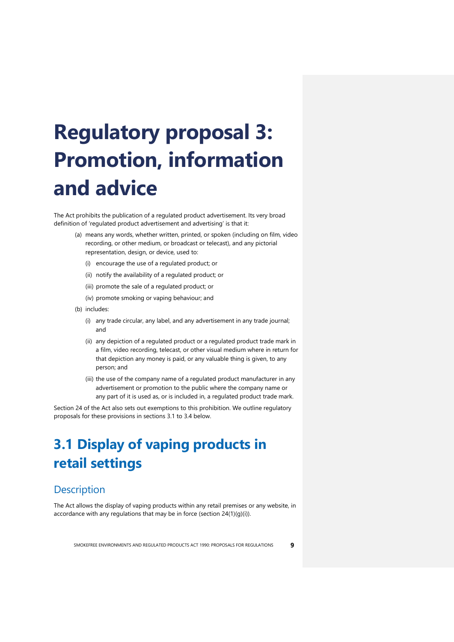# <span id="page-12-0"></span>**Regulatory proposal 3: Promotion, information and advice**

The Act prohibits the publication of a regulated product advertisement. Its very broad definition of 'regulated product advertisement and advertising' is that it:

- (a) means any words, whether written, printed, or spoken (including on film, video recording, or other medium, or broadcast or telecast), and any pictorial representation, design, or device, used to:
	- (i) encourage the use of a regulated product; or
	- (ii) notify the availability of a regulated product; or
	- (iii) promote the sale of a regulated product; or
	- (iv) promote smoking or vaping behaviour; and
- (b) includes:
	- (i) any trade circular, any label, and any advertisement in any trade journal; and
	- (ii) any depiction of a regulated product or a regulated product trade mark in a film, video recording, telecast, or other visual medium where in return for that depiction any money is paid, or any valuable thing is given, to any person; and
	- (iii) the use of the company name of a regulated product manufacturer in any advertisement or promotion to the public where the company name or any part of it is used as, or is included in, a regulated product trade mark.

Section 24 of the Act also sets out exemptions to this prohibition. We outline regulatory proposals for these provisions in sections 3.1 to 3.4 below.

# <span id="page-12-1"></span>**3.1 Display of vaping products in retail settings**

#### <span id="page-12-2"></span>**Description**

The Act allows the display of vaping products within any retail premises or any website, in accordance with any regulations that may be in force (section 24(1)(g)(i)).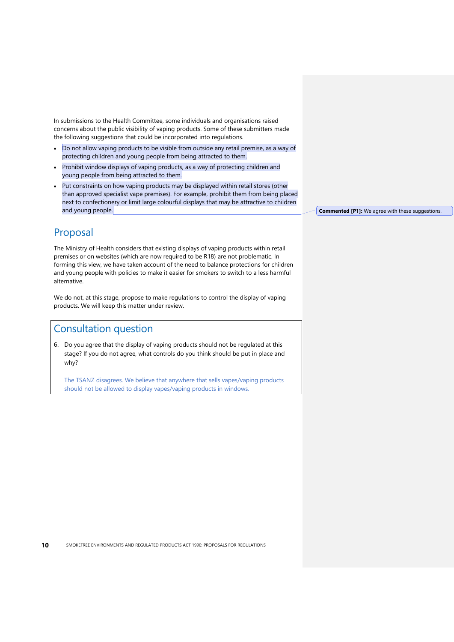In submissions to the Health Committee, some individuals and organisations raised concerns about the public visibility of vaping products. Some of these submitters made the following suggestions that could be incorporated into regulations.

- Do not allow vaping products to be visible from outside any retail premise, as a way of protecting children and young people from being attracted to them.
- Prohibit window displays of vaping products, as a way of protecting children and young people from being attracted to them.
- Put constraints on how vaping products may be displayed within retail stores (other than approved specialist vape premises). For example, prohibit them from being placed next to confectionery or limit large colourful displays that may be attractive to children and young people.

### <span id="page-13-0"></span>Proposal

The Ministry of Health considers that existing displays of vaping products within retail premises or on websites (which are now required to be R18) are not problematic. In forming this view, we have taken account of the need to balance protections for children and young people with policies to make it easier for smokers to switch to a less harmful alternative.

We do not, at this stage, propose to make regulations to control the display of vaping products. We will keep this matter under review.

## <span id="page-13-1"></span>Consultation question

6. Do you agree that the display of vaping products should not be regulated at this stage? If you do not agree, what controls do you think should be put in place and why?

The TSANZ disagrees. We believe that anywhere that sells vapes/vaping products should not be allowed to display vapes/vaping products in windows.

**Commented [P1]:** We agree with these suggestions.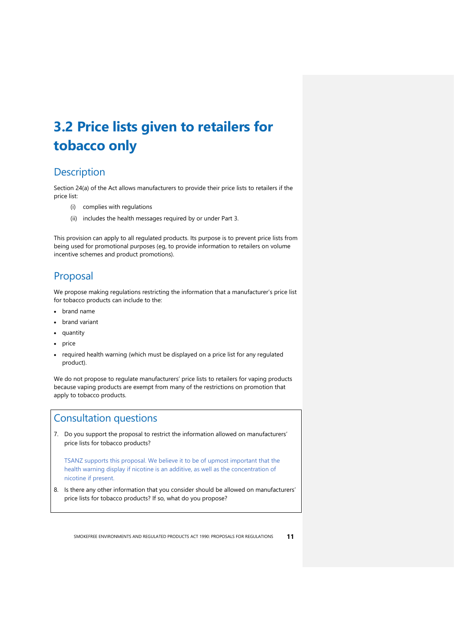# <span id="page-14-0"></span>**3.2 Price lists given to retailers for tobacco only**

### <span id="page-14-1"></span>**Description**

Section 24(a) of the Act allows manufacturers to provide their price lists to retailers if the price list:

- (i) complies with regulations
- (ii) includes the health messages required by or under Part 3.

This provision can apply to all regulated products. Its purpose is to prevent price lists from being used for promotional purposes (eg, to provide information to retailers on volume incentive schemes and product promotions).

### <span id="page-14-2"></span>Proposal

We propose making regulations restricting the information that a manufacturer's price list for tobacco products can include to the:

- brand name
- brand variant
- quantity
- price
- required health warning (which must be displayed on a price list for any regulated product).

We do not propose to regulate manufacturers' price lists to retailers for vaping products because vaping products are exempt from many of the restrictions on promotion that apply to tobacco products.

#### <span id="page-14-3"></span>Consultation questions

7. Do you support the proposal to restrict the information allowed on manufacturers' price lists for tobacco products?

TSANZ supports this proposal. We believe it to be of upmost important that the health warning display if nicotine is an additive, as well as the concentration of nicotine if present.

8. Is there any other information that you consider should be allowed on manufacturers' price lists for tobacco products? If so, what do you propose?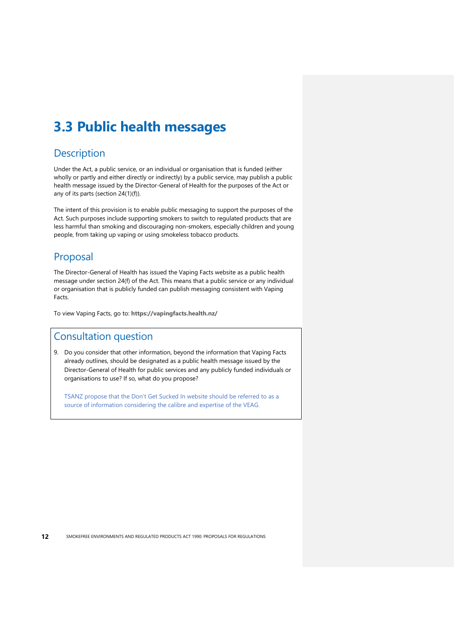## <span id="page-15-0"></span>**3.3 Public health messages**

#### <span id="page-15-1"></span>**Description**

Under the Act, a public service, or an individual or organisation that is funded (either wholly or partly and either directly or indirectly) by a public service, may publish a public health message issued by the Director-General of Health for the purposes of the Act or any of its parts (section 24(1)(f)).

The intent of this provision is to enable public messaging to support the purposes of the Act. Such purposes include supporting smokers to switch to regulated products that are less harmful than smoking and discouraging non-smokers, especially children and young people, from taking up vaping or using smokeless tobacco products.

### <span id="page-15-2"></span>Proposal

The Director-General of Health has issued the Vaping Facts website as a public health message under section 24(f) of the Act. This means that a public service or any individual or organisation that is publicly funded can publish messaging consistent with Vaping Facts.

<span id="page-15-3"></span>To view Vaping Facts, go to: **<https://vapingfacts.health.nz/>**

#### Consultation question

9. Do you consider that other information, beyond the information that Vaping Facts already outlines, should be designated as a public health message issued by the Director-General of Health for public services and any publicly funded individuals or organisations to use? If so, what do you propose?

TSANZ propose that the Don't Get Sucked In website should be referred to as a source of information considering the calibre and expertise of the VEAG.

**12** SMOKEFREE ENVIRONMENTS AND REGULATED PRODUCTS ACT 1990: PROPOSALS FOR REGULATIONS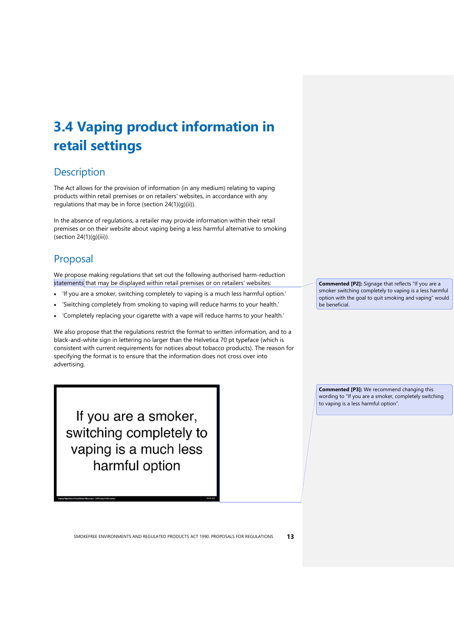# <span id="page-16-0"></span>**3.4 Vaping product information in retail settings**

### <span id="page-16-1"></span>**Description**

The Act allows for the provision of information (in any medium) relating to vaping products within retail premises or on retailers' websites, in accordance with any regulations that may be in force (section 24(1)(g)(ii)).

In the absence of regulations, a retailer may provide information within their retail premises or on their website about vaping being a less harmful alternative to smoking (section 24(1)(g)(iii)).

### <span id="page-16-2"></span>Proposal

We propose making regulations that set out the following authorised harm-reduction statements that may be displayed within retail premises or on retailers' websites:

- 'If you are a smoker, switching completely to vaping is a much less harmful option.'
- 'Switching completely from smoking to vaping will reduce harms to your health.'
- 'Completely replacing your cigarette with a vape will reduce harms to your health.'

We also propose that the regulations restrict the format to written information, and to a black-and-white sign in lettering no larger than the Helvetica 70 pt typeface (which is consistent with current requirements for notices about tobacco products). The reason for specifying the format is to ensure that the information does not cross over into advertising.

If you are a smoker, switching completely to vaping is a much less harmful option

**Commented [P2]:** Signage that reflects "If you are a smoker switching completely to vaping is a less harmful option with the goal to quit smoking and vaping" would be beneficial.

**Commented [P3]:** We recommend changing this wording to "If you are a smoker, completely switching to vaping is a less harmful option".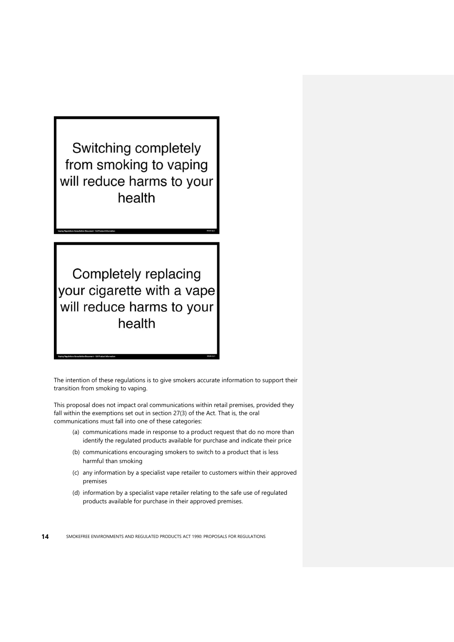Switching completely from smoking to vaping will reduce harms to your health

Completely replacing your cigarette with a vape will reduce harms to your health

The intention of these regulations is to give smokers accurate information to support their transition from smoking to vaping.

This proposal does not impact oral communications within retail premises, provided they fall within the exemptions set out in section 27(3) of the Act. That is, the oral communications must fall into one of these categories:

- (a) communications made in response to a product request that do no more than identify the regulated products available for purchase and indicate their price
- (b) communications encouraging smokers to switch to a product that is less harmful than smoking
- (c) any information by a specialist vape retailer to customers within their approved premises
- (d) information by a specialist vape retailer relating to the safe use of regulated products available for purchase in their approved premises.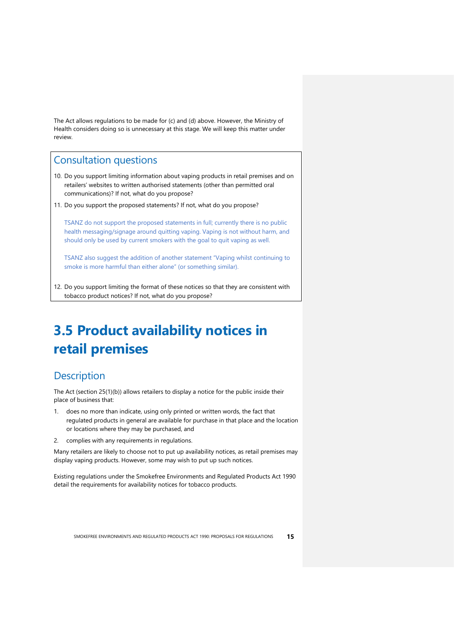The Act allows regulations to be made for (c) and (d) above. However, the Ministry of Health considers doing so is unnecessary at this stage. We will keep this matter under review.

#### <span id="page-18-0"></span>Consultation questions

- 10. Do you support limiting information about vaping products in retail premises and on retailers' websites to written authorised statements (other than permitted oral communications)? If not, what do you propose?
- 11. Do you support the proposed statements? If not, what do you propose?

TSANZ do not support the proposed statements in full; currently there is no public health messaging/signage around quitting vaping. Vaping is not without harm, and should only be used by current smokers with the goal to quit vaping as well.

TSANZ also suggest the addition of another statement "Vaping whilst continuing to smoke is more harmful than either alone" (or something similar).

12. Do you support limiting the format of these notices so that they are consistent with tobacco product notices? If not, what do you propose?

## <span id="page-18-1"></span>**3.5 Product availability notices in retail premises**

#### <span id="page-18-2"></span>**Description**

The Act (section 25(1)(b)) allows retailers to display a notice for the public inside their place of business that:

- 1. does no more than indicate, using only printed or written words, the fact that regulated products in general are available for purchase in that place and the location or locations where they may be purchased, and
- 2. complies with any requirements in regulations.

Many retailers are likely to choose not to put up availability notices, as retail premises may display vaping products. However, some may wish to put up such notices.

Existing regulations under the Smokefree Environments and Regulated Products Act 1990 detail the requirements for availability notices for tobacco products.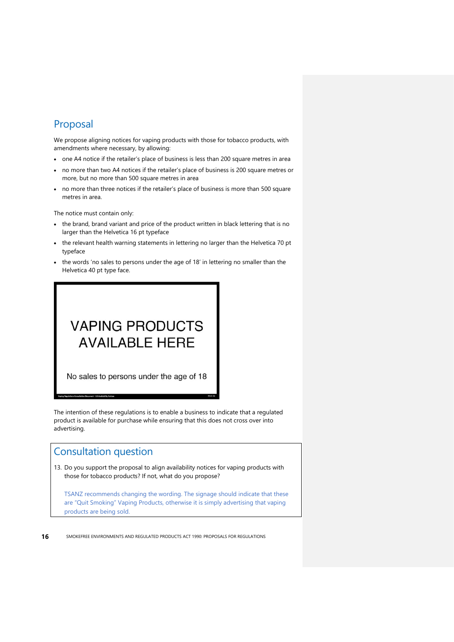#### <span id="page-19-0"></span>Proposal

We propose aligning notices for vaping products with those for tobacco products, with amendments where necessary, by allowing:

- one A4 notice if the retailer's place of business is less than 200 square metres in area
- no more than two A4 notices if the retailer's place of business is 200 square metres or more, but no more than 500 square metres in area
- no more than three notices if the retailer's place of business is more than 500 square metres in area.

The notice must contain only:

- the brand, brand variant and price of the product written in black lettering that is no larger than the Helvetica 16 pt typeface
- the relevant health warning statements in lettering no larger than the Helvetica 70 pt typeface
- the words 'no sales to persons under the age of 18' in lettering no smaller than the Helvetica 40 pt type face.

# **VAPING PRODUCTS AVAILABLE HERE**

No sales to persons under the age of 18

The intention of these regulations is to enable a business to indicate that a regulated product is available for purchase while ensuring that this does not cross over into advertising.

#### <span id="page-19-1"></span>Consultation question

13. Do you support the proposal to align availability notices for vaping products with those for tobacco products? If not, what do you propose?

TSANZ recommends changing the wording. The signage should indicate that these are "Quit Smoking" Vaping Products, otherwise it is simply advertising that vaping products are being sold.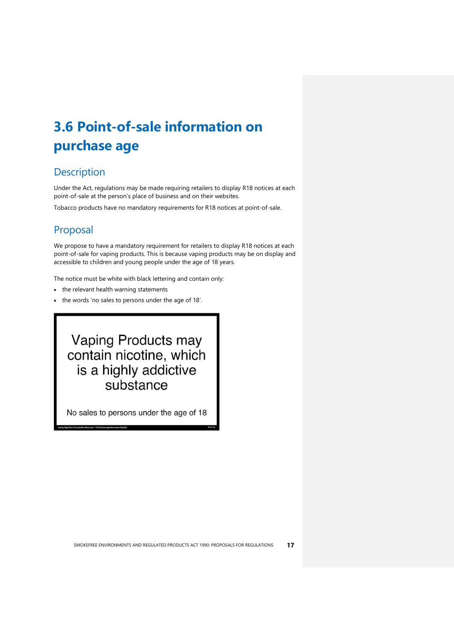# <span id="page-20-0"></span>**3.6 Point-of-sale information on purchase age**

### <span id="page-20-1"></span>**Description**

Under the Act, regulations may be made requiring retailers to display R18 notices at each point-of-sale at the person's place of business and on their websites.

Tobacco products have no mandatory requirements for R18 notices at point-of-sale.

## <span id="page-20-2"></span>Proposal

We propose to have a mandatory requirement for retailers to display R18 notices at each point-of-sale for vaping products. This is because vaping products may be on display and accessible to children and young people under the age of 18 years.

The notice must be white with black lettering and contain only:

- the relevant health warning statements
- the words 'no sales to persons under the age of 18'.

## Vaping Products may contain nicotine, which is a highly addictive substance

No sales to persons under the age of 18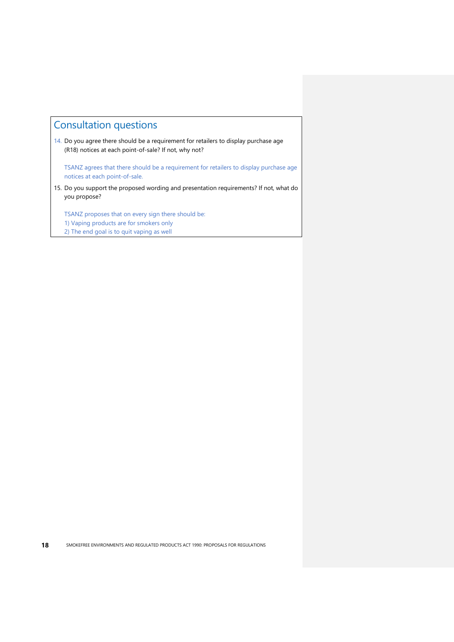## <span id="page-21-0"></span>Consultation questions

14. Do you agree there should be a requirement for retailers to display purchase age (R18) notices at each point-of-sale? If not, why not?

TSANZ agrees that there should be a requirement for retailers to display purchase age notices at each point-of-sale.

15. Do you support the proposed wording and presentation requirements? If not, what do you propose?

TSANZ proposes that on every sign there should be:

- <span id="page-21-1"></span>1) Vaping products are for smokers only
- 2) The end goal is to quit vaping as well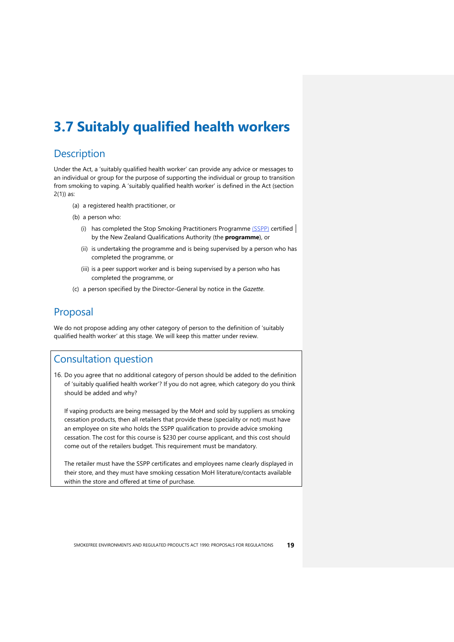## **3.7 Suitably qualified health workers**

#### <span id="page-22-0"></span>**Description**

Under the Act, a 'suitably qualified health worker' can provide any advice or messages to an individual or group for the purpose of supporting the individual or group to transition from smoking to vaping. A 'suitably qualified health worker' is defined in the Act (section 2(1)) as:

- (a) a registered health practitioner, or
- (b) a person who:
	- (i) has completed the Stop Smoking Practitioners Programme (SSPP) certified by the New Zealand Qualifications Authority (the **programme**), or
	- (ii) is undertaking the programme and is being supervised by a person who has completed the programme, or
	- (iii) is a peer support worker and is being supervised by a person who has completed the programme, or
- (c) a person specified by the Director-General by notice in the *Gazette*.

#### <span id="page-22-1"></span>Proposal

We do not propose adding any other category of person to the definition of 'suitably qualified health worker' at this stage. We will keep this matter under review.

#### <span id="page-22-2"></span>Consultation question

16. Do you agree that no additional category of person should be added to the definition of 'suitably qualified health worker'? If you do not agree, which category do you think should be added and why?

If vaping products are being messaged by the MoH and sold by suppliers as smoking cessation products, then all retailers that provide these (speciality or not) must have an employee on site who holds the SSPP qualification to provide advice smoking cessation. The cost for this course is \$230 per course applicant, and this cost should come out of the retailers budget. This requirement must be mandatory.

The retailer must have the SSPP certificates and employees name clearly displayed in their store, and they must have smoking cessation MoH literature/contacts available within the store and offered at time of purchase.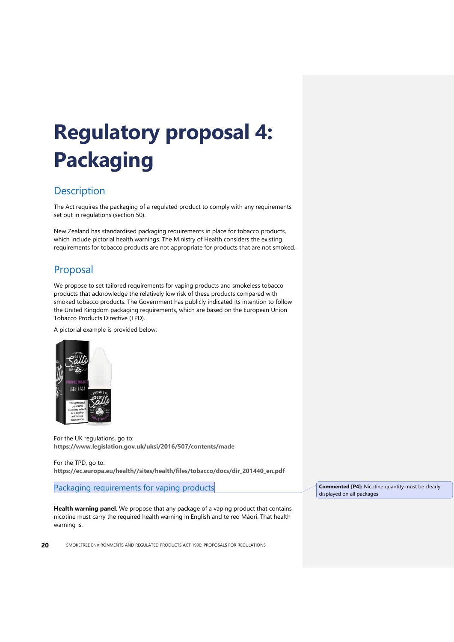# <span id="page-23-0"></span>**Regulatory proposal 4: Packaging**

### <span id="page-23-1"></span>**Description**

The Act requires the packaging of a regulated product to comply with any requirements set out in regulations (section 50).

New Zealand has standardised packaging requirements in place for tobacco products, which include pictorial health warnings. The Ministry of Health considers the existing requirements for tobacco products are not appropriate for products that are not smoked.

## <span id="page-23-2"></span>Proposal

We propose to set tailored requirements for vaping products and smokeless tobacco products that acknowledge the relatively low risk of these products compared with smoked tobacco products. The Government has publicly indicated its intention to follow the United Kingdom packaging requirements, which are based on the European Union Tobacco Products Directive (TPD).

A pictorial example is provided below:



For the UK regulations, go to: **<https://www.legislation.gov.uk/uksi/2016/507/contents/made>**

For the TPD, go to: **[https://ec.europa.eu/health//sites/health/files/tobacco/docs/dir\\_201440\\_en.pdf](https://ec.europa.eu/health/sites/health/files/tobacco/docs/dir_201440_en.pdf)**

Packaging requirements for vaping products

**Health warning panel**. We propose that any package of a vaping product that contains nicotine must carry the required health warning in English and te reo Māori. That health warning is:

**20** SMOKEFREE ENVIRONMENTS AND REGULATED PRODUCTS ACT 1990: PROPOSALS FOR REGULATIONS

**Commented [P4]:** Nicotine quantity must be clearly displayed on all packages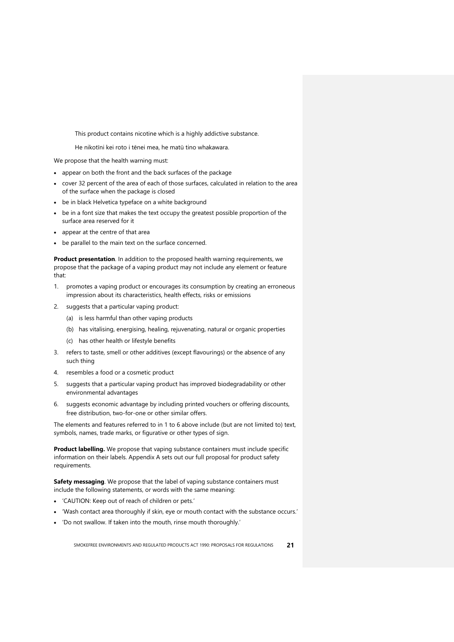This product contains nicotine which is a highly addictive substance.

He nikotīni kei roto i tēnei mea, he matū tino whakawara.

We propose that the health warning must:

- appear on both the front and the back surfaces of the package
- cover 32 percent of the area of each of those surfaces, calculated in relation to the area of the surface when the package is closed
- be in black Helvetica typeface on a white background
- be in a font size that makes the text occupy the greatest possible proportion of the surface area reserved for it
- appear at the centre of that area
- be parallel to the main text on the surface concerned.

**Product presentation**. In addition to the proposed health warning requirements, we propose that the package of a vaping product may not include any element or feature that:

- 1. promotes a vaping product or encourages its consumption by creating an erroneous impression about its characteristics, health effects, risks or emissions
- 2. suggests that a particular vaping product:
	- (a) is less harmful than other vaping products
	- (b) has vitalising, energising, healing, rejuvenating, natural or organic properties
	- (c) has other health or lifestyle benefits
- 3. refers to taste, smell or other additives (except flavourings) or the absence of any such thing
- 4. resembles a food or a cosmetic product
- 5. suggests that a particular vaping product has improved biodegradability or other environmental advantages
- 6. suggests economic advantage by including printed vouchers or offering discounts, free distribution, two-for-one or other similar offers.

The elements and features referred to in 1 to 6 above include (but are not limited to) text, symbols, names, trade marks, or figurative or other types of sign.

**Product labelling.** We propose that vaping substance containers must include specific information on their labels. Appendix A sets out our full proposal for product safety requirements.

**Safety messaging**. We propose that the label of vaping substance containers must include the following statements, or words with the same meaning:

- 'CAUTION: Keep out of reach of children or pets.'
- 'Wash contact area thoroughly if skin, eye or mouth contact with the substance occurs.'
- 'Do not swallow. If taken into the mouth, rinse mouth thoroughly.'

SMOKEFREE ENVIRONMENTS AND REGULATED PRODUCTS ACT 1990: PROPOSALS FOR REGULATIONS **21**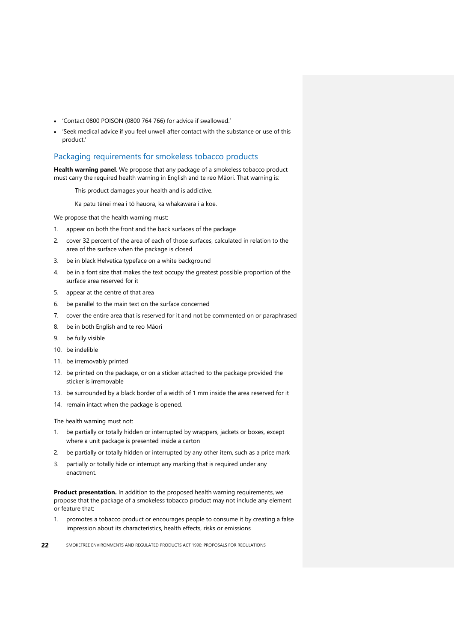- 'Contact 0800 POISON (0800 764 766) for advice if swallowed.'
- 'Seek medical advice if you feel unwell after contact with the substance or use of this product.'

#### Packaging requirements for smokeless tobacco products

**Health warning panel**. We propose that any package of a smokeless tobacco product must carry the required health warning in English and te reo Māori. That warning is:

This product damages your health and is addictive.

Ka patu tēnei mea i tō hauora, ka whakawara i a koe.

We propose that the health warning must:

- 1. appear on both the front and the back surfaces of the package
- 2. cover 32 percent of the area of each of those surfaces, calculated in relation to the area of the surface when the package is closed
- 3. be in black Helvetica typeface on a white background
- 4. be in a font size that makes the text occupy the greatest possible proportion of the surface area reserved for it
- 5. appear at the centre of that area
- 6. be parallel to the main text on the surface concerned
- 7. cover the entire area that is reserved for it and not be commented on or paraphrased
- 8. be in both English and te reo Māori
- 9. be fully visible
- 10. be indelible
- 11. be irremovably printed
- 12. be printed on the package, or on a sticker attached to the package provided the sticker is irremovable
- 13. be surrounded by a black border of a width of 1 mm inside the area reserved for it
- 14. remain intact when the package is opened.

The health warning must not:

- 1. be partially or totally hidden or interrupted by wrappers, jackets or boxes, except where a unit package is presented inside a carton
- 2. be partially or totally hidden or interrupted by any other item, such as a price mark
- 3. partially or totally hide or interrupt any marking that is required under any enactment.

**Product presentation.** In addition to the proposed health warning requirements, we propose that the package of a smokeless tobacco product may not include any element or feature that:

- 1. promotes a tobacco product or encourages people to consume it by creating a false impression about its characteristics, health effects, risks or emissions
- **22** SMOKEFREE ENVIRONMENTS AND REGULATED PRODUCTS ACT 1990: PROPOSALS FOR REGULATIONS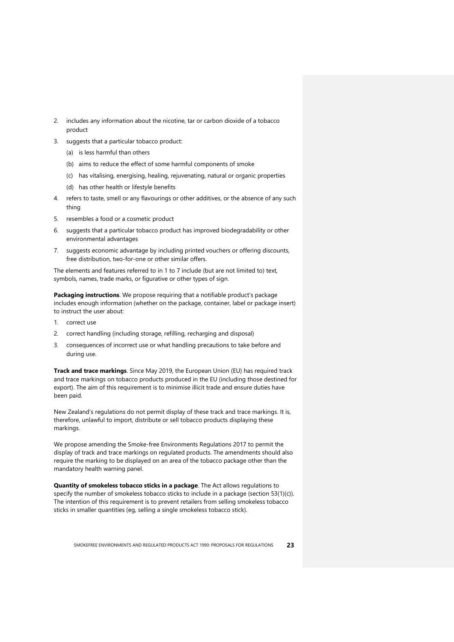- 2. includes any information about the nicotine, tar or carbon dioxide of a tobacco product
- 3. suggests that a particular tobacco product:
	- (a) is less harmful than others
	- (b) aims to reduce the effect of some harmful components of smoke
	- (c) has vitalising, energising, healing, rejuvenating, natural or organic properties
	- (d) has other health or lifestyle benefits
- 4. refers to taste, smell or any flavourings or other additives, or the absence of any such thing
- 5. resembles a food or a cosmetic product
- 6. suggests that a particular tobacco product has improved biodegradability or other environmental advantages
- 7. suggests economic advantage by including printed vouchers or offering discounts, free distribution, two-for-one or other similar offers.

The elements and features referred to in 1 to 7 include (but are not limited to) text, symbols, names, trade marks, or figurative or other types of sign.

**Packaging instructions**. We propose requiring that a notifiable product's package includes enough information (whether on the package, container, label or package insert) to instruct the user about:

- 1. correct use
- 2. correct handling (including storage, refilling, recharging and disposal)
- 3. consequences of incorrect use or what handling precautions to take before and during use.

**Track and trace markings**. Since May 2019, the European Union (EU) has required track and trace markings on tobacco products produced in the EU (including those destined for export). The aim of this requirement is to minimise illicit trade and ensure duties have been paid.

New Zealand's regulations do not permit display of these track and trace markings. It is, therefore, unlawful to import, distribute or sell tobacco products displaying these markings.

We propose amending the Smoke-free Environments Regulations 2017 to permit the display of track and trace markings on regulated products. The amendments should also require the marking to be displayed on an area of the tobacco package other than the mandatory health warning panel.

**Quantity of smokeless tobacco sticks in a package**. The Act allows regulations to specify the number of smokeless tobacco sticks to include in a package (section 53(1)(c)). The intention of this requirement is to prevent retailers from selling smokeless tobacco sticks in smaller quantities (eg, selling a single smokeless tobacco stick).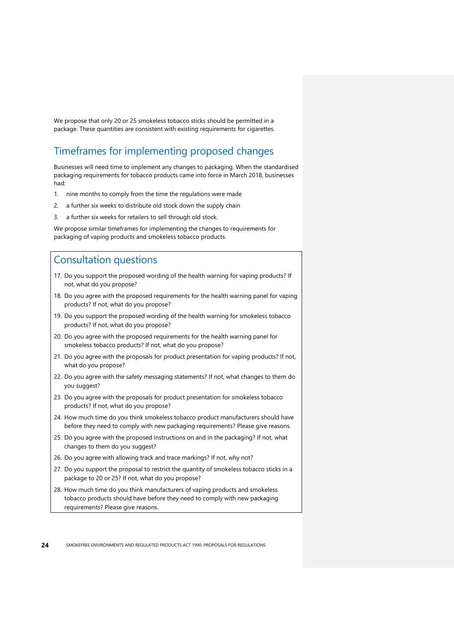We propose that only 20 or 25 smokeless tobacco sticks should be permitted in a package. These quantities are consistent with existing requirements for cigarettes.

### <span id="page-27-0"></span>Timeframes for implementing proposed changes

Businesses will need time to implement any changes to packaging. When the standardised packaging requirements for tobacco products came into force in March 2018, businesses had:

- 1. nine months to comply from the time the regulations were made
- 2. a further six weeks to distribute old stock down the supply chain
- 3. a further six weeks for retailers to sell through old stock.

<span id="page-27-1"></span>We propose similar timeframes for implementing the changes to requirements for packaging of vaping products and smokeless tobacco products.

- 17. Do you support the proposed wording of the health warning for vaping products? If not, what do you propose?
- 18. Do you agree with the proposed requirements for the health warning panel for vaping products? If not, what do you propose?
- 19. Do you support the proposed wording of the health warning for smokeless tobacco products? If not, what do you propose?
- 20. Do you agree with the proposed requirements for the health warning panel for smokeless tobacco products? If not, what do you propose?
- 21. Do you agree with the proposals for product presentation for vaping products? If not, what do you propose?
- 22. Do you agree with the safety messaging statements? If not, what changes to them do you suggest?
- 23. Do you agree with the proposals for product presentation for smokeless tobacco products? If not, what do you propose?
- 24. How much time do you think smokeless tobacco product manufacturers should have before they need to comply with new packaging requirements? Please give reasons.
- 25. Do you agree with the proposed instructions on and in the packaging? If not, what changes to them do you suggest?
- 26. Do you agree with allowing track and trace markings? If not, why not?
- 27. Do you support the proposal to restrict the quantity of smokeless tobacco sticks in a package to 20 or 25? If not, what do you propose?
- 28. How much time do you think manufacturers of vaping products and smokeless tobacco products should have before they need to comply with new packaging requirements? Please give reasons.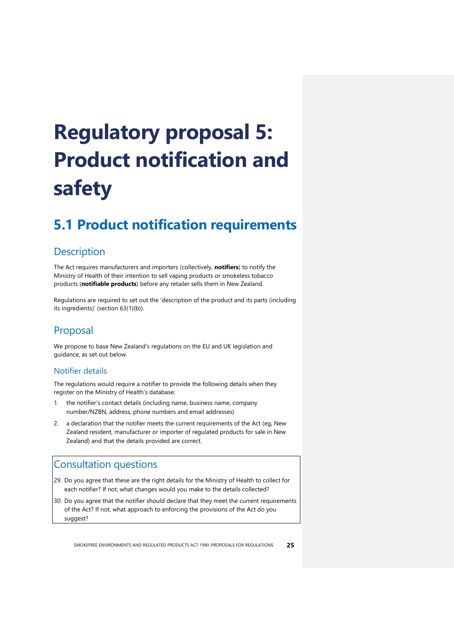# <span id="page-28-0"></span>**Regulatory proposal 5: Product notification and safety**

## <span id="page-28-1"></span>**5.1 Product notification requirements**

#### <span id="page-28-2"></span>**Description**

The Act requires manufacturers and importers (collectively, **notifiers**) to notify the Ministry of Health of their intention to sell vaping products or smokeless tobacco products (**notifiable products**) before any retailer sells them in New Zealand.

Regulations are required to set out the 'description of the product and its parts (including its ingredients)' (section 63(1)(b)).

### <span id="page-28-3"></span>Proposal

We propose to base New Zealand's regulations on the EU and UK legislation and guidance, as set out below.

#### Notifier details

The regulations would require a notifier to provide the following details when they register on the Ministry of Health's database:

- 1. the notifier's contact details (including name, business name, company number/NZBN, address, phone numbers and email addresses)
- 2. a declaration that the notifier meets the current requirements of the Act (eg, New Zealand resident, manufacturer or importer of regulated products for sale in New Zealand) and that the details provided are correct.

- <span id="page-28-4"></span>29. Do you agree that these are the right details for the Ministry of Health to collect for each notifier? If not, what changes would you make to the details collected?
- 30. Do you agree that the notifier should declare that they meet the current requirements of the Act? If not, what approach to enforcing the provisions of the Act do you suggest?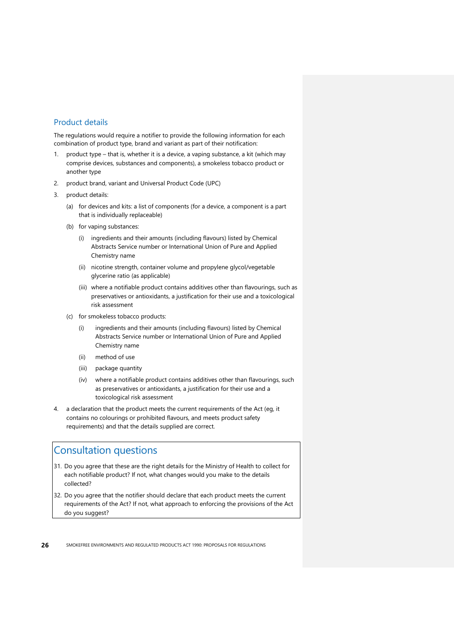#### Product details

The regulations would require a notifier to provide the following information for each combination of product type, brand and variant as part of their notification:

- 1. product type that is, whether it is a device, a vaping substance, a kit (which may comprise devices, substances and components), a smokeless tobacco product or another type
- 2. product brand, variant and Universal Product Code (UPC)
- 3. product details:
	- (a) for devices and kits: a list of components (for a device, a component is a part that is individually replaceable)
	- (b) for vaping substances:
		- (i) ingredients and their amounts (including flavours) listed by Chemical Abstracts Service number or International Union of Pure and Applied Chemistry name
		- (ii) nicotine strength, container volume and propylene glycol/vegetable glycerine ratio (as applicable)
		- (iii) where a notifiable product contains additives other than flavourings, such as preservatives or antioxidants, a justification for their use and a toxicological risk assessment
	- (c) for smokeless tobacco products:
		- (i) ingredients and their amounts (including flavours) listed by Chemical Abstracts Service number or International Union of Pure and Applied Chemistry name
		- (ii) method of use
		- (iii) package quantity
		- (iv) where a notifiable product contains additives other than flavourings, such as preservatives or antioxidants, a justification for their use and a toxicological risk assessment
- 4. a declaration that the product meets the current requirements of the Act (eg, it contains no colourings or prohibited flavours, and meets product safety requirements) and that the details supplied are correct.

- <span id="page-29-0"></span>31. Do you agree that these are the right details for the Ministry of Health to collect for each notifiable product? If not, what changes would you make to the details collected?
- 32. Do you agree that the notifier should declare that each product meets the current requirements of the Act? If not, what approach to enforcing the provisions of the Act do you suggest?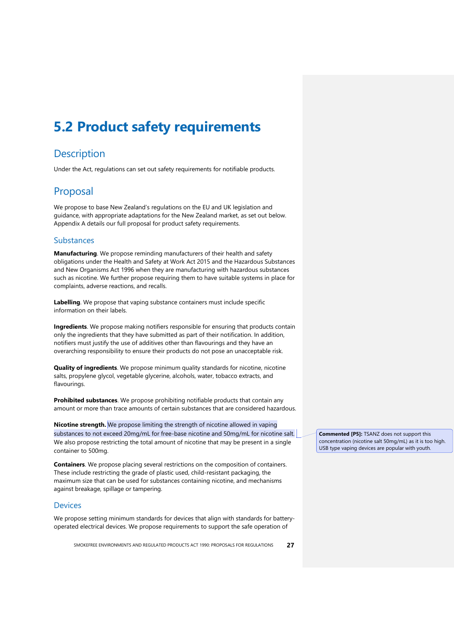## <span id="page-30-0"></span>**5.2 Product safety requirements**

#### <span id="page-30-1"></span>**Description**

<span id="page-30-2"></span>Under the Act, regulations can set out safety requirements for notifiable products.

#### Proposal

We propose to base New Zealand's regulations on the EU and UK legislation and guidance, with appropriate adaptations for the New Zealand market, as set out below. Appendix A details our full proposal for product safety requirements.

#### Substances

**Manufacturing**. We propose reminding manufacturers of their health and safety obligations under the Health and Safety at Work Act 2015 and the Hazardous Substances and New Organisms Act 1996 when they are manufacturing with hazardous substances such as nicotine. We further propose requiring them to have suitable systems in place for complaints, adverse reactions, and recalls.

**Labelling**. We propose that vaping substance containers must include specific information on their labels.

**Ingredients**. We propose making notifiers responsible for ensuring that products contain only the ingredients that they have submitted as part of their notification. In addition, notifiers must justify the use of additives other than flavourings and they have an overarching responsibility to ensure their products do not pose an unacceptable risk.

**Quality of ingredients**. We propose minimum quality standards for nicotine, nicotine salts, propylene glycol, vegetable glycerine, alcohols, water, tobacco extracts, and flavourings.

**Prohibited substances**. We propose prohibiting notifiable products that contain any amount or more than trace amounts of certain substances that are considered hazardous.

**Nicotine strength.** We propose limiting the strength of nicotine allowed in vaping substances to not exceed 20mg/mL for free-base nicotine and 50mg/mL for nicotine salt. We also propose restricting the total amount of nicotine that may be present in a single container to 500mg.

**Containers**. We propose placing several restrictions on the composition of containers. These include restricting the grade of plastic used, child-resistant packaging, the maximum size that can be used for substances containing nicotine, and mechanisms against breakage, spillage or tampering.

#### Devices

We propose setting minimum standards for devices that align with standards for batteryoperated electrical devices. We propose requirements to support the safe operation of

SMOKEFREE ENVIRONMENTS AND REGULATED PRODUCTS ACT 1990: PROPOSALS FOR REGULATIONS **27**

**Commented [P5]:** TSANZ does not support this concentration (nicotine salt 50mg/mL) as it is too high. USB type vaping devices are popular with youth.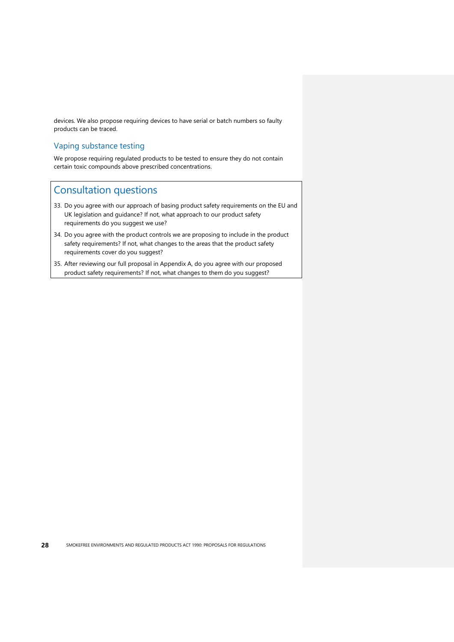devices. We also propose requiring devices to have serial or batch numbers so faulty products can be traced.

#### Vaping substance testing

<span id="page-31-0"></span>We propose requiring regulated products to be tested to ensure they do not contain certain toxic compounds above prescribed concentrations.

- 33. Do you agree with our approach of basing product safety requirements on the EU and UK legislation and guidance? If not, what approach to our product safety requirements do you suggest we use?
- 34. Do you agree with the product controls we are proposing to include in the product safety requirements? If not, what changes to the areas that the product safety requirements cover do you suggest?
- 35. After reviewing our full proposal in Appendix A, do you agree with our proposed product safety requirements? If not, what changes to them do you suggest?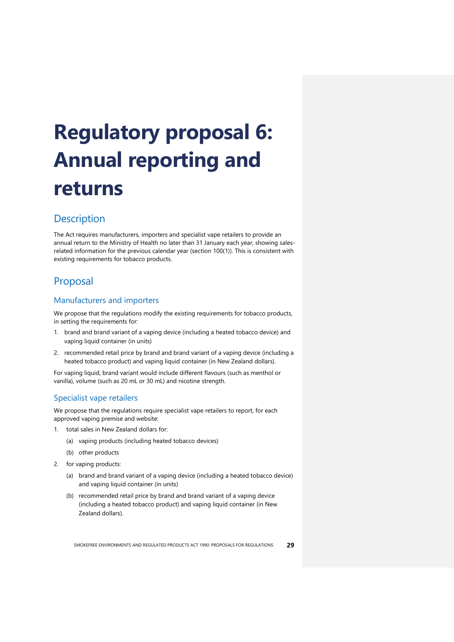# <span id="page-32-0"></span>**Regulatory proposal 6: Annual reporting and returns**

### <span id="page-32-1"></span>**Description**

The Act requires manufacturers, importers and specialist vape retailers to provide an annual return to the Ministry of Health no later than 31 January each year, showing salesrelated information for the previous calendar year (section 100(1)). This is consistent with existing requirements for tobacco products.

## <span id="page-32-2"></span>Proposal

#### Manufacturers and importers

We propose that the regulations modify the existing requirements for tobacco products, in setting the requirements for:

- 1. brand and brand variant of a vaping device (including a heated tobacco device) and vaping liquid container (in units)
- 2. recommended retail price by brand and brand variant of a vaping device (including a heated tobacco product) and vaping liquid container (in New Zealand dollars).

For vaping liquid, brand variant would include different flavours (such as menthol or vanilla), volume (such as 20 mL or 30 mL) and nicotine strength.

#### Specialist vape retailers

We propose that the regulations require specialist vape retailers to report, for each approved vaping premise and website:

- 1. total sales in New Zealand dollars for:
	- (a) vaping products (including heated tobacco devices)
	- (b) other products
- 2. for vaping products:
	- (a) brand and brand variant of a vaping device (including a heated tobacco device) and vaping liquid container (in units)
	- (b) recommended retail price by brand and brand variant of a vaping device (including a heated tobacco product) and vaping liquid container (in New Zealand dollars).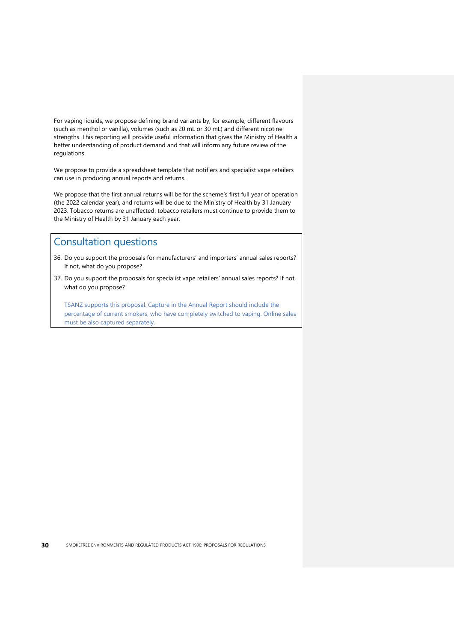For vaping liquids, we propose defining brand variants by, for example, different flavours (such as menthol or vanilla), volumes (such as 20 mL or 30 mL) and different nicotine strengths. This reporting will provide useful information that gives the Ministry of Health a better understanding of product demand and that will inform any future review of the regulations.

We propose to provide a spreadsheet template that notifiers and specialist vape retailers can use in producing annual reports and returns.

We propose that the first annual returns will be for the scheme's first full year of operation (the 2022 calendar year), and returns will be due to the Ministry of Health by 31 January 2023. Tobacco returns are unaffected: tobacco retailers must continue to provide them to the Ministry of Health by 31 January each year.

#### <span id="page-33-0"></span>Consultation questions

- 36. Do you support the proposals for manufacturers' and importers' annual sales reports? If not, what do you propose?
- 37. Do you support the proposals for specialist vape retailers' annual sales reports? If not, what do you propose?

TSANZ supports this proposal. Capture in the Annual Report should include the percentage of current smokers, who have completely switched to vaping. Online sales must be also captured separately.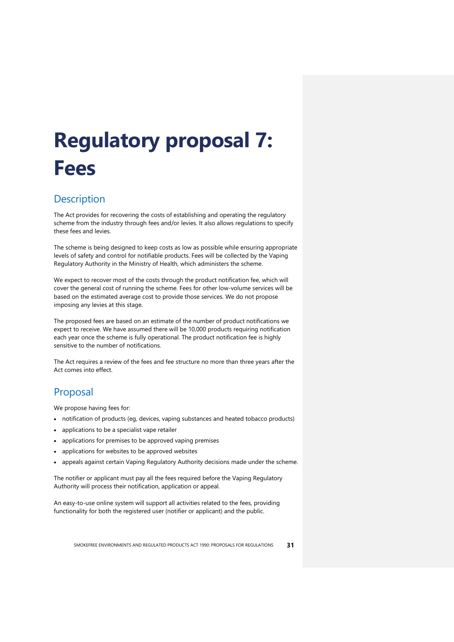# <span id="page-34-0"></span>**Regulatory proposal 7: Fees**

### <span id="page-34-1"></span>**Description**

The Act provides for recovering the costs of establishing and operating the regulatory scheme from the industry through fees and/or levies. It also allows regulations to specify these fees and levies.

The scheme is being designed to keep costs as low as possible while ensuring appropriate levels of safety and control for notifiable products. Fees will be collected by the Vaping Regulatory Authority in the Ministry of Health, which administers the scheme.

We expect to recover most of the costs through the product notification fee, which will cover the general cost of running the scheme. Fees for other low-volume services will be based on the estimated average cost to provide those services. We do not propose imposing any levies at this stage.

The proposed fees are based on an estimate of the number of product notifications we expect to receive. We have assumed there will be 10,000 products requiring notification each year once the scheme is fully operational. The product notification fee is highly sensitive to the number of notifications.

The Act requires a review of the fees and fee structure no more than three years after the Act comes into effect.

### <span id="page-34-2"></span>Proposal

We propose having fees for:

- notification of products (eg, devices, vaping substances and heated tobacco products)
- applications to be a specialist vape retailer
- applications for premises to be approved vaping premises
- applications for websites to be approved websites
- appeals against certain Vaping Regulatory Authority decisions made under the scheme.

The notifier or applicant must pay all the fees required before the Vaping Regulatory Authority will process their notification, application or appeal.

An easy-to-use online system will support all activities related to the fees, providing functionality for both the registered user (notifier or applicant) and the public.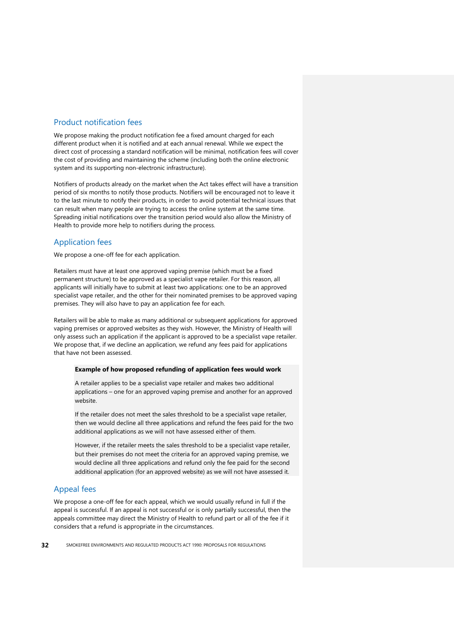#### Product notification fees

We propose making the product notification fee a fixed amount charged for each different product when it is notified and at each annual renewal. While we expect the direct cost of processing a standard notification will be minimal, notification fees will cover the cost of providing and maintaining the scheme (including both the online electronic system and its supporting non-electronic infrastructure).

Notifiers of products already on the market when the Act takes effect will have a transition period of six months to notify those products. Notifiers will be encouraged not to leave it to the last minute to notify their products, in order to avoid potential technical issues that can result when many people are trying to access the online system at the same time. Spreading initial notifications over the transition period would also allow the Ministry of Health to provide more help to notifiers during the process.

#### Application fees

We propose a one-off fee for each application.

Retailers must have at least one approved vaping premise (which must be a fixed permanent structure) to be approved as a specialist vape retailer. For this reason, all applicants will initially have to submit at least two applications: one to be an approved specialist vape retailer, and the other for their nominated premises to be approved vaping premises. They will also have to pay an application fee for each.

Retailers will be able to make as many additional or subsequent applications for approved vaping premises or approved websites as they wish. However, the Ministry of Health will only assess such an application if the applicant is approved to be a specialist vape retailer. We propose that, if we decline an application, we refund any fees paid for applications that have not been assessed.

#### **Example of how proposed refunding of application fees would work**

A retailer applies to be a specialist vape retailer and makes two additional applications – one for an approved vaping premise and another for an approved website.

If the retailer does not meet the sales threshold to be a specialist vape retailer, then we would decline all three applications and refund the fees paid for the two additional applications as we will not have assessed either of them.

However, if the retailer meets the sales threshold to be a specialist vape retailer, but their premises do not meet the criteria for an approved vaping premise, we would decline all three applications and refund only the fee paid for the second additional application (for an approved website) as we will not have assessed it.

#### Appeal fees

We propose a one-off fee for each appeal, which we would usually refund in full if the appeal is successful. If an appeal is not successful or is only partially successful, then the appeals committee may direct the Ministry of Health to refund part or all of the fee if it considers that a refund is appropriate in the circumstances.

**32** SMOKEFREE ENVIRONMENTS AND REGULATED PRODUCTS ACT 1990: PROPOSALS FOR REGULATIONS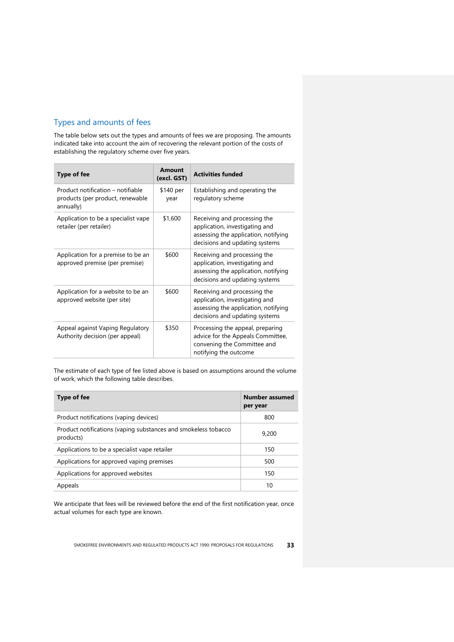#### Types and amounts of fees

The table below sets out the types and amounts of fees we are proposing. The amounts indicated take into account the aim of recovering the relevant portion of the costs of establishing the regulatory scheme over five years.

| <b>Type of fee</b>                                                                 | <b>Amount</b><br>(excl. GST) | <b>Activities funded</b>                                                                                                                 |
|------------------------------------------------------------------------------------|------------------------------|------------------------------------------------------------------------------------------------------------------------------------------|
| Product notification – notifiable<br>products (per product, renewable<br>annually) | \$140 per<br>year            | Establishing and operating the<br>regulatory scheme                                                                                      |
| Application to be a specialist vape<br>retailer (per retailer)                     | \$1,600                      | Receiving and processing the<br>application, investigating and<br>assessing the application, notifying<br>decisions and updating systems |
| Application for a premise to be an<br>approved premise (per premise)               | \$600                        | Receiving and processing the<br>application, investigating and<br>assessing the application, notifying<br>decisions and updating systems |
| Application for a website to be an<br>approved website (per site)                  | \$600                        | Receiving and processing the<br>application, investigating and<br>assessing the application, notifying<br>decisions and updating systems |
| Appeal against Vaping Regulatory<br>Authority decision (per appeal)                | \$350                        | Processing the appeal, preparing<br>advice for the Appeals Committee,<br>convening the Committee and<br>notifying the outcome            |

The estimate of each type of fee listed above is based on assumptions around the volume of work, which the following table describes.

| Type of fee                                                                 | Number assumed<br>per year |
|-----------------------------------------------------------------------------|----------------------------|
| Product notifications (vaping devices)                                      | 800                        |
| Product notifications (vaping substances and smokeless tobacco<br>products) | 9,200                      |
| Applications to be a specialist vape retailer                               | 150                        |
| Applications for approved vaping premises                                   | 500                        |
| Applications for approved websites                                          | 150                        |
| Appeals                                                                     | 10                         |

We anticipate that fees will be reviewed before the end of the first notification year, once actual volumes for each type are known.